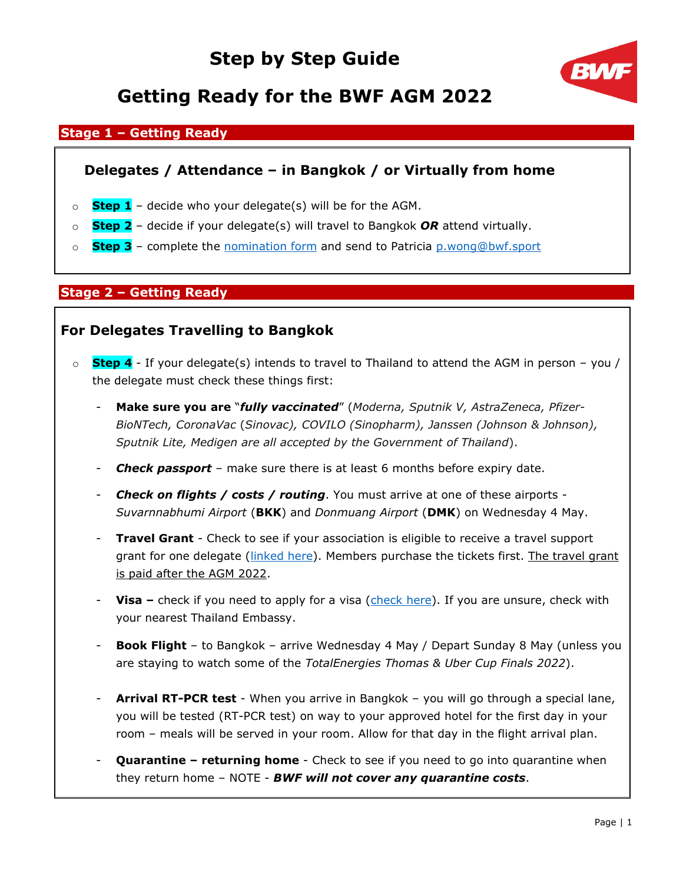

## **Getting Ready for the BWF AGM 2022**

### **Stage 1 – Getting Ready**

### **Delegates / Attendance – in Bangkok / or Virtually from home**

- o **Step 1** decide who your delegate(s) will be for the AGM.
- o **Step 2** decide if your delegate(s) will travel to Bangkok *OR* attend virtually.
- o **Step 3** complete the [nomination form](https://view.officeapps.live.com/op/view.aspx?src=https%3A%2F%2Fextranet.bwfbadminton.com%2Fdocs%2Fdocument-system%2F81%2F82%2F961%2FBWF%2520AGM%25202022%2520-%2520Delegates%2520Nomination%2520Form.doc&wdOrigin=BROWSELINK) and send to Patricia [p.wong@bwf.sport](mailto:p.wong@bwf.sport)

### **Stage 2 – Getting Ready**

### **For Delegates Travelling to Bangkok**

- o **Step 4** If your delegate(s) intends to travel to Thailand to attend the AGM in person you / the delegate must check these things first:
	- **Make sure you are** "*fully vaccinated*" (*Moderna, Sputnik V, AstraZeneca, Pfizer-BioNTech, CoronaVac* (*Sinovac), COVILO (Sinopharm), Janssen (Johnson & Johnson), Sputnik Lite, Medigen are all accepted by the Government of Thailand*).
	- *Check passport* make sure there is at least 6 months before expiry date.
	- *Check on flights / costs / routing*. You must arrive at one of these airports *Suvarnnabhumi Airport* (**BKK**) and *Donmuang Airport* (**DMK**) on Wednesday 4 May.
	- **Travel Grant** Check to see if your association is eligible to receive a travel support grant for one delegate (*linked here*). Members purchase the tickets first. The travel grant is paid after the AGM 2022.
	- **Visa –** check if you need to apply for a visa [\(check here\)](https://www.thaiembassy.com/thailand-visa/thai-visa-exemption-and-bilateral-agreement). If you are unsure, check with your nearest Thailand Embassy.
	- **Book Flight** to Bangkok arrive Wednesday 4 May / Depart Sunday 8 May (unless you are staying to watch some of the *TotalEnergies Thomas & Uber Cup Finals 2022*).
	- **Arrival RT-PCR test** When you arrive in Bangkok you will go through a special lane, you will be tested (RT-PCR test) on way to your approved hotel for the first day in your room – meals will be served in your room. Allow for that day in the flight arrival plan.
	- **Quarantine – returning home** Check to see if you need to go into quarantine when they return home – NOTE - *BWF will not cover any quarantine costs*.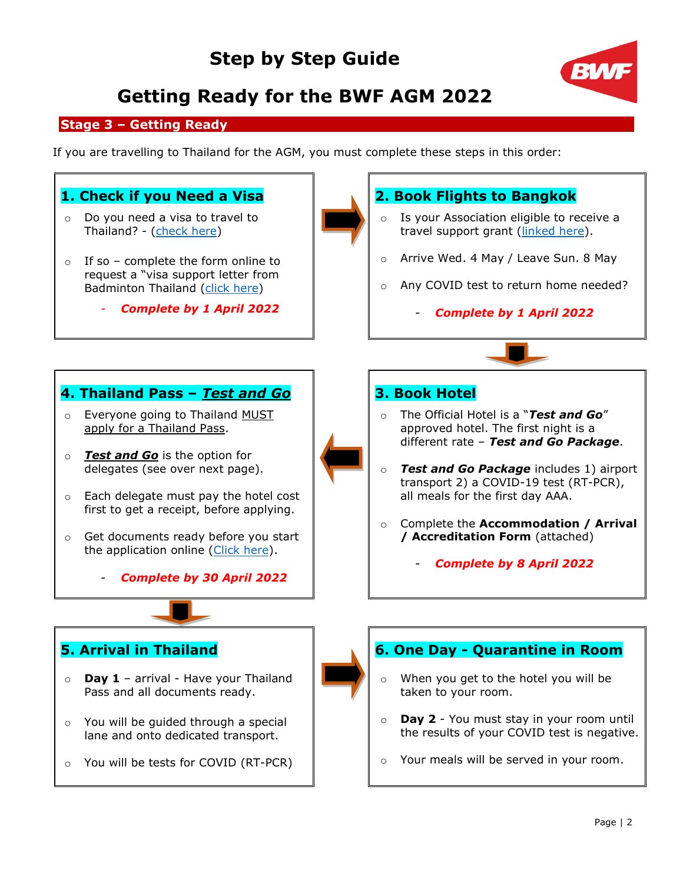

## **Getting Ready for the BWF AGM 2022**

### **Stage 3 – Getting Ready**

If you are travelling to Thailand for the AGM, you must complete these steps in this order:

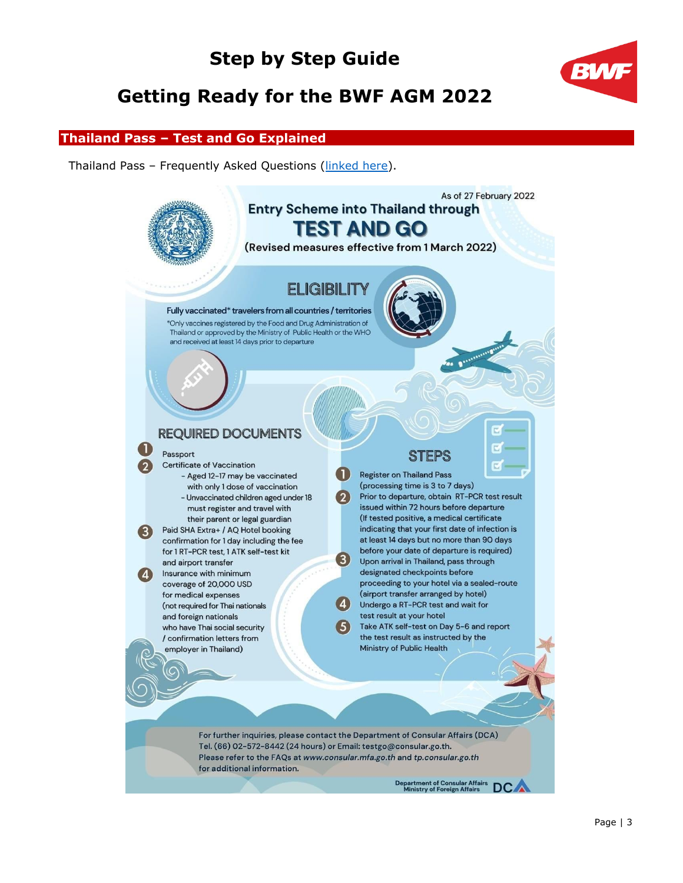## **Getting Ready for the BWF AGM 2022**



#### **Thailand Pass – Test and Go Explained**

Thailand Pass – Frequently Asked Questions [\(linked here\)](https://www.thaiembassy.com/travel-to-thailand/thailand-pass-faqs).